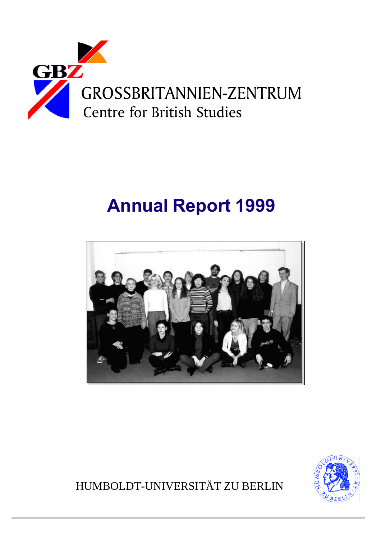

# **Annual Report 1999**





HUMBOLDT-UNIVERSITÄT ZU BERLIN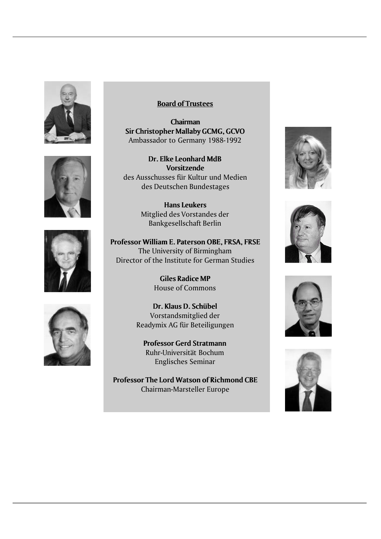







Chairman **Sir Christopher Mallaby GCMG, GCVO** Ambassador to Germany 1988-1992

**Dr. Elke Leonhard MdB Vorsitzende** des Ausschusses für Kultur und Medien des Deutschen Bundestages

> **Hans Leukers** Mitglied des Vorstandes der Bankgesellschaft Berlin

**Professor William E. Paterson OBE, FRSA, FRSE** The University of Birmingham Director of the Institute for German Studies

> **Giles Radice MP** House of Commons

**Dr. Klaus D. Schübel** Vorstandsmitglied der Readymix AG für Beteiligungen

**Professor Gerd Stratmann** Ruhr-Universität Bochum Englisches Seminar

**Professor The Lord Watson of Richmond CBE** Chairman-Marsteller Europe







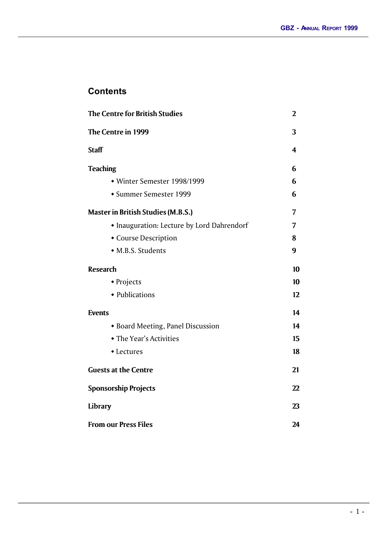# **Contents**

| The Centre for British Studies                             |    |  |                |
|------------------------------------------------------------|----|--|----------------|
| The Centre in 1999                                         | 3  |  |                |
| <b>Staff</b>                                               | 4  |  |                |
| <b>Teaching</b>                                            | 6  |  |                |
| • Winter Semester 1998/1999                                | 6  |  |                |
| • Summer Semester 1999                                     | 6  |  |                |
| <b>Master in British Studies (M.B.S.)</b>                  | 7  |  |                |
| • Inauguration: Lecture by Lord Dahrendorf                 | 7  |  |                |
| • Course Description                                       | 8  |  |                |
| • M.B.S. Students                                          | 9  |  |                |
| <b>Research</b>                                            | 10 |  |                |
| • Projects                                                 | 10 |  |                |
| • Publications                                             | 12 |  |                |
| <b>Events</b>                                              | 14 |  |                |
| • Board Meeting, Panel Discussion                          | 14 |  |                |
| • The Year's Activities                                    | 15 |  |                |
| • Lectures                                                 | 18 |  |                |
| <b>Guests at the Centre</b><br><b>Sponsorship Projects</b> |    |  |                |
|                                                            |    |  | <b>Library</b> |
| <b>From our Press Files</b>                                |    |  |                |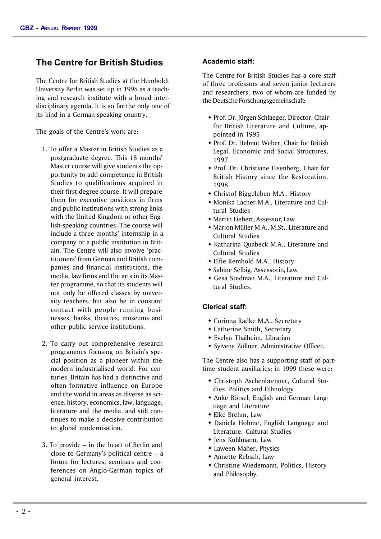# **The Centre for British Studies**

The Centre for British Studies at the Humboldt University Berlin was set up in 1995 as a teaching and research institute with a broad interdisciplinary agenda. It is so far the only one of its kind in a German-speaking country.

The goals of the Centre's work are:

- 1. To offer a Master in British Studies as a postgraduate degree. This 18 months' Master course will give students the opportunity to add competence in British Studies to qualifications acquired in their first degree course. It will prepare them for executive positions in firms and public institutions with strong links with the United Kingdom or other English-speaking countries. The course will include a three months' internship in a company or a public institution in Britain. The Centre will also involve 'practitioners' from German and British companies and financial institutions, the media, law firms and the arts in its Master programme, so that its students will not only be offered classes by university teachers, but also be in constant contact with people running businesses, banks, theatres, museums and other public service institutions.
- 2. To carry out comprehensive research programmes focusing on Britain's special position as a pioneer within the modern industrialised world. For centuries, Britain has had a distinctive and often formative influence on Europe and the world in areas as diverse as science, history, economics, law, language, literature and the media, and still continues to make a decisive contribution to global modernisation.
- 3. To provide in the heart of Berlin and close to Germany's political centre – a forum for lectures, seminars and conferences on Anglo-German topics of general interest.

#### **Academic staff:**

The Centre for British Studies has a core staff of three professors and seven junior lecturers and researchers, two of whom are funded by the Deutsche Forschungsgemeinschaft:

- \* Prof. Dr. Jürgen Schlaeger, Director, Chair for British Literature and Culture, appointed in 1995
- Prof. Dr. Helmut Weber, Chair for British Legal, Economic and Social Structures, 1997
- Prof. Dr. Christiane Eisenberg, Chair for British History since the Restoration, 1998
- Christof Biggeleben M.A., History
- Monika Lacher M.A., Literature and Cultural Studies
- w Martin Liebert, Assessor, Law
- $\bullet$  Marion Müller M.A., M.St., Literature and Cultural Studies
- Katharina Quabeck M.A., Literature and Cultural Studies
- Elfie Rembold M.A., History
- w Sabine Selbig, Assessorin, Law
- Gesa Stedman M.A., Literature and Cultural Studies.

#### **Clerical staff:**

- Corinna Radke M.A., Secretary
- Catherine Smith, Secretary
- $\bullet$  Evelyn Thalheim, Librarian
- Sylvena Zöllner, Administrative Officer.

The Centre also has a supporting staff of parttime student auxiliaries; in 1999 these were:

- Christoph Aschenbrenner, Cultural Studies, Politics and Ethnology
- Anke Börsel, English and German Language and Literature
- $\bullet$  Elke Brehm, Law
- \* Daniela Hohme, English Language and Literature, Cultural Studies
- Jens Kuhlmann, Law
- Laween Maher, Physics
- w Annette Rebsch, Law
- Christine Wiedemann, Politics, History and Philosophy.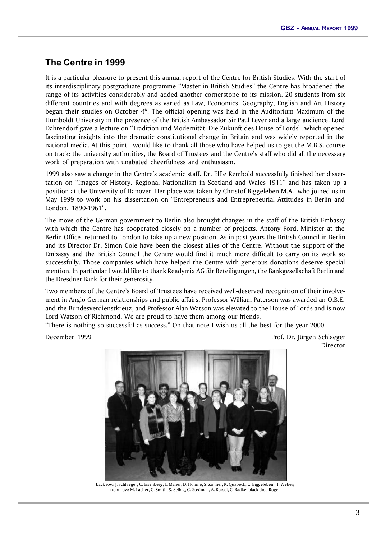# **The Centre in 1999**

It is a particular pleasure to present this annual report of the Centre for British Studies. With the start of its interdisciplinary postgraduate programme "Master in British Studies" the Centre has broadened the range of its activities considerably and added another cornerstone to its mission. 20 students from six different countries and with degrees as varied as Law, Economics, Geography, English and Art History began their studies on October  $4<sup>h</sup>$ . The official opening was held in the Auditorium Maximum of the Humboldt University in the presence of the British Ambassador Sir Paul Lever and a large audience. Lord Dahrendorf gave a lecture on "Tradition und Modernität: Die Zukunft des House of Lords", which opened fascinating insights into the dramatic constitutional change in Britain and was widely reported in the national media. At this point I would like to thank all those who have helped us to get the M.B.S. course on track: the university authorities, the Board of Trustees and the Centre's staff who did all the necessary work of preparation with unabated cheerfulness and enthusiasm.

1999 also saw a change in the Centre's academic staff. Dr. Elfie Rembold successfully finished her dissertation on "Images of History. Regional Nationalism in Scotland and Wales 1911" and has taken up a position at the University of Hanover. Her place was taken by Christof Biggeleben M.A., who joined us in May 1999 to work on his dissertation on "Entrepreneurs and Entrepreneurial Attitudes in Berlin and London, 1890-1961".

The move of the German government to Berlin also brought changes in the staff of the British Embassy with which the Centre has cooperated closely on a number of projects. Antony Ford, Minister at the Berlin Office, returned to London to take up a new position. As in past years the British Council in Berlin and its Director Dr. Simon Cole have been the closest allies of the Centre. Without the support of the Embassy and the British Council the Centre would find it much more difficult to carry on its work so successfully. Those companies which have helped the Centre with generous donations deserve special mention. In particular I would like to thank Readymix AG für Beteiligungen, the Bankgesellschaft Berlin and the Dresdner Bank for their generosity.

Two members of the Centre's Board of Trustees have received well-deserved recognition of their involvement in Anglo-German relationships and public affairs. Professor William Paterson was awarded an O.B.E. and the Bundesverdienstkreuz, and Professor Alan Watson was elevated to the House of Lords and is now Lord Watson of Richmond. We are proud to have them among our friends.

"There is nothing so successful as success." On that note I wish us all the best for the year 2000.

December 1999 **December 1999 Prof. Dr. Jürgen Schlaeger** Director



back row: J. Schlaeger, C. Eisenberg, L. Maher, D. Hohme, S. Zöllner, K. Quabeck, C. Biggeleben, H. Weber; front row: M. Lacher, C. Smith, S. Selbig, G. Stedman, A. Börsel, C. Radke; black dog: Roger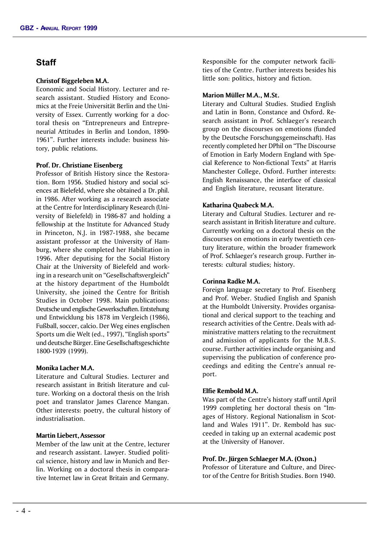## **Staff**

#### **Christof Biggeleben M.A.**

Economic and Social History. Lecturer and research assistant. Studied History and Economics at the Freie Universität Berlin and the University of Essex. Currently working for a doctoral thesis on "Entrepreneurs and Entrepreneurial Attitudes in Berlin and London, 1890- 1961". Further interests include: business history, public relations.

#### **Prof. Dr. Christiane Eisenberg**

Professor of British History since the Restoration. Born 1956. Studied history and social sciences at Bielefeld, where she obtained a Dr. phil. in 1986. After working as a research associate at the Centre for Interdisciplinary Research (University of Bielefeld) in 1986-87 and holding a fellowship at the Institute for Advanced Study in Princeton, N.J. in 1987-1988, she became assistant professor at the University of Hamburg, where she completed her Habilitation in 1996. After deputising for the Social History Chair at the University of Bielefeld and working in a research unit on "Gesellschaftsvergleich" at the history department of the Humboldt University, she joined the Centre for British Studies in October 1998. Main publications: Deutsche und englische Gewerkschaften. Entstehung und Entwicklung bis 1878 im Vergleich (1986), Fußball, soccer, calcio. Der Weg eines englischen Sports um die Welt (ed., 1997), "English sports" und deutsche Bürger. Eine Gesellschaftsgeschichte 1800-1939 (1999).

#### **Monika Lacher M.A.**

Literature and Cultural Studies. Lecturer and research assistant in British literature and culture. Working on a doctoral thesis on the Irish poet and translator James Clarence Mangan. Other interests: poetry, the cultural history of industrialisation.

#### **Martin Liebert,** Assessor

Member of the law unit at the Centre, lecturer and research assistant. Lawyer. Studied political science, history and law in Munich and Berlin. Working on a doctoral thesis in comparative Internet law in Great Britain and Germany.

Responsible for the computer network facilities of the Centre. Further interests besides his little son: politics, history and fiction.

#### **Marion Müller M.A., M.St.**

Literary and Cultural Studies. Studied English and Latin in Bonn, Constance and Oxford. Research assistant in Prof. Schlaeger's research group on the discourses on emotions (funded by the Deutsche Forschungsgemeinschaft). Has recently completed her DPhil on "The Discourse of Emotion in Early Modern England with Special Reference to Non-fictional Texts" at Harris Manchester College, Oxford. Further interests: English Renaissance, the interface of classical and English literature, recusant literature.

#### **Katharina Quabeck M.A.**

Literary and Cultural Studies. Lecturer and research assistant in British literature and culture. Currently working on a doctoral thesis on the discourses on emotions in early twentieth century literature, within the broader framework of Prof. Schlaeger's research group. Further interests: cultural studies; history.

#### **Corinna Radke M.A.**

Foreign language secretary to Prof. Eisenberg and Prof. Weber. Studied English and Spanish at the Humboldt University. Provides organisational and clerical support to the teaching and research activities of the Centre. Deals with administrative matters relating to the recruitment and admission of applicants for the M.B.S. course. Further activities include organising and supervising the publication of conference proceedings and editing the Centre's annual report.

#### **Elfie Rembold M.A.**

Was part of the Centre's history staff until April 1999 completing her doctoral thesis on "Images of History. Regional Nationalism in Scotland and Wales 1911". Dr. Rembold has succeeded in taking up an external academic post at the University of Hanover.

#### **Prof. Dr. Jürgen Schlaeger M.A. (Oxon.)**

Professor of Literature and Culture, and Director of the Centre for British Studies. Born 1940.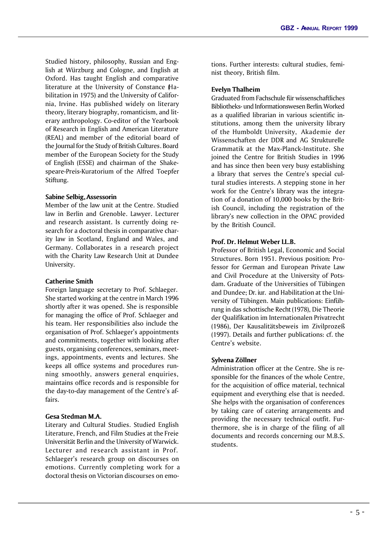Studied history, philosophy, Russian and English at Würzburg and Cologne, and English at Oxford. Has taught English and comparative literature at the University of Constance (Habilitation in 1975) and the University of California, Irvine. Has published widely on literary theory, literary biography, romanticism, and literary anthropology. Co-editor of the Yearbook of Research in English and American Literature (REAL) and member of the editorial board of the Journal for the Study of British Cultures. Board member of the European Society for the Study of English (ESSE) and chairman of the Shakespeare-Preis-Kuratorium of the Alfred Toepfer Stiftung.

#### **Sabine Selbig,** Assessorin

Member of the law unit at the Centre. Studied law in Berlin and Grenoble. Lawyer. Lecturer and research assistant. Is currently doing research for a doctoral thesis in comparative charity law in Scotland, England and Wales, and Germany. Collaborates in a research project with the Charity Law Research Unit at Dundee University.

#### **Catherine Smith**

Foreign language secretary to Prof. Schlaeger. She started working at the centre in March 1996 shortly after it was opened. She is responsible for managing the office of Prof. Schlaeger and his team. Her responsibilities also include the organisation of Prof. Schlaeger's appointments and commitments, together with looking after guests, organising conferences, seminars, meetings, appointments, events and lectures. She keeps all office systems and procedures running smoothly, answers general enquiries, maintains office records and is responsible for the day-to-day management of the Centre's affairs.

#### **Gesa Stedman M.A.**

Literary and Cultural Studies. Studied English Literature, French, and Film Studies at the Freie Universität Berlin and the University of Warwick. Lecturer and research assistant in Prof. Schlaeger's research group on discourses on emotions. Currently completing work for a doctoral thesis on Victorian discourses on emotions. Further interests: cultural studies, feminist theory, British film.

#### **Evelyn Thalheim**

Graduated from Fachschule für wissenschaftliches Bibliotheks- und Informationswesen Berlin. Worked as a qualified librarian in various scientific institutions, among them the university library of the Humboldt University, Akademie der Wissenschaften der DDR and AG Strukturelle Grammatik at the Max-Planck-Institute. She joined the Centre for British Studies in 1996 and has since then been very busy establishing a library that serves the Centre's special cultural studies interests. A stepping stone in her work for the Centre's library was the integration of a donation of 10,000 books by the British Council, including the registration of the library's new collection in the OPAC provided by the British Council.

#### **Prof. Dr. Helmut Weber LL.B.**

Professor of British Legal, Economic and Social Structures. Born 1951. Previous position: Professor for German and European Private Law and Civil Procedure at the University of Potsdam. Graduate of the Universities of Tübingen and Dundee; Dr. iur. and Habilitation at the University of Tübingen. Main publications: Einführung in das schottische Recht (1978), Die Theorie der Qualifikation im Internationalen Privatrecht (1986), Der Kausalitätsbeweis im Zivilprozeß (1997). Details and further publications: cf. the Centre's website.

#### **Sylvena Zöllner**

Administration officer at the Centre. She is responsible for the finances of the whole Centre, for the acquisition of office material, technical equipment and everything else that is needed. She helps with the organisation of conferences by taking care of catering arrangements and providing the necessary technical outfit. Furthermore, she is in charge of the filing of all documents and records concerning our M.B.S. students.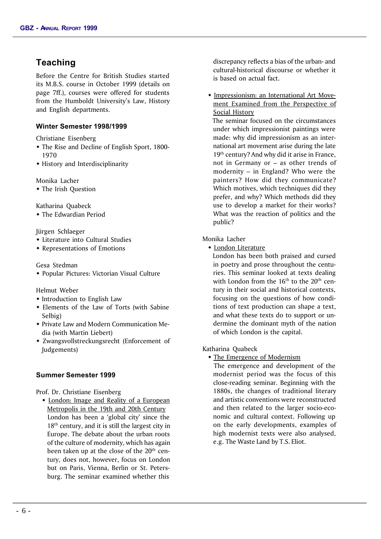# **Teaching**

Before the Centre for British Studies started its M.B.S. course in October 1999 (details on page 7ff.), courses were offered for students from the Humboldt University's Law, History and English departments.

#### **Winter Semester 1998/1999**

Christiane Eisenberg

- The Rise and Decline of English Sport, 1800-1970
- History and Interdisciplinarity

Monika Lacher

• The Irish Question

Katharina Quabeck

 $\bullet$  The Edwardian Period

Jürgen Schlaeger

- Literature into Cultural Studies
- $\triangle$  Representations of Emotions

#### Gesa Stedman

• Popular Pictures: Victorian Visual Culture

Helmut Weber

- Introduction to English Law
- $\bullet$  Elements of the Law of Torts (with Sabine Selbig)
- Private Law and Modern Communication Media (with Martin Liebert)
- Zwangsvollstreckungsrecht (Enforcement of Judgements)

#### **Summer Semester 1999**

Prof. Dr. Christiane Eisenberg

• London: Image and Reality of a European Metropolis in the 19th and 20th Century London has been a 'global city' since the  $18<sup>th</sup>$  century, and it is still the largest city in Europe. The debate about the urban roots of the culture of modernity, which has again been taken up at the close of the 20<sup>th</sup> century, does not, however, focus on London but on Paris, Vienna, Berlin or St. Petersburg. The seminar examined whether this

discrepancy reflects a bias of the urban- and cultural-historical discourse or whether it is based on actual fact.

**\*** Impressionism: an International Art Movement Examined from the Perspective of Social History

 The seminar focused on the circumstances under which impressionist paintings were made: why did impressionism as an international art movement arise during the late 19<sup>th</sup> century? And why did it arise in France, not in Germany or – as other trends of modernity – in England? Who were the painters? How did they communicate? Which motives, which techniques did they prefer, and why? Which methods did they use to develop a market for their works? What was the reaction of politics and the public?

#### Monika Lacher

 $\bullet$  London Literature

 London has been both praised and cursed in poetry and prose throughout the centuries. This seminar looked at texts dealing with London from the  $16<sup>th</sup>$  to the  $20<sup>th</sup>$  century in their social and historical contexts, focusing on the questions of how conditions of text production can shape a text, and what these texts do to support or undermine the dominant myth of the nation of which London is the capital.

#### Katharina Quabeck

 $\bullet$  The Emergence of Modernism

 The emergence and development of the modernist period was the focus of this close-reading seminar. Beginning with the 1880s, the changes of traditional literary and artistic conventions were reconstructed and then related to the larger socio-economic and cultural context. Following up on the early developments, examples of high modernist texts were also analysed, e.g. The Waste Land by T.S. Eliot.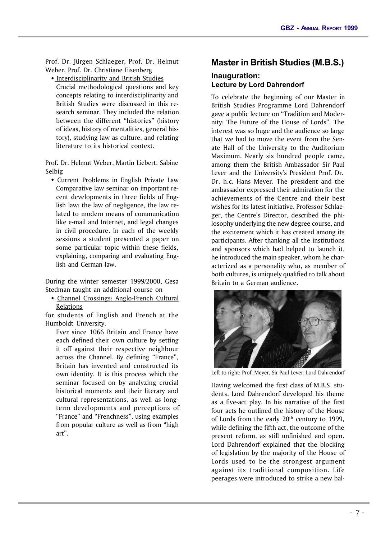Prof. Dr. Jürgen Schlaeger, Prof. Dr. Helmut Weber, Prof. Dr. Christiane Eisenberg

• Interdisciplinarity and British Studies

 Crucial methodological questions and key concepts relating to interdisciplinarity and British Studies were discussed in this research seminar. They included the relation between the different "histories" (history of ideas, history of mentalities, general history), studying law as culture, and relating literature to its historical context.

Prof. Dr. Helmut Weber, Martin Liebert, Sabine Selbig

 $\bullet$  Current Problems in English Private Law Comparative law seminar on important recent developments in three fields of English law: the law of negligence, the law related to modern means of communication like e-mail and Internet, and legal changes in civil procedure. In each of the weekly sessions a student presented a paper on some particular topic within these fields, explaining, comparing and evaluating English and German law.

During the winter semester 1999/2000, Gesa Stedman taught an additional course on

• Channel Crossings: Anglo-French Cultural Relations

for students of English and French at the Humboldt University.

Ever since 1066 Britain and France have each defined their own culture by setting it off against their respective neighbour across the Channel. By defining "France", Britain has invented and constructed its own identity. It is this process which the seminar focused on by analyzing crucial historical moments and their literary and cultural representations, as well as longterm developments and perceptions of "France" and "Frenchness", using examples from popular culture as well as from "high art".

## **Master in British Studies (M.B.S.)**

## **Inauguration: Lecture by Lord Dahrendorf**

To celebrate the beginning of our Master in British Studies Programme Lord Dahrendorf gave a public lecture on "Tradition and Modernity: The Future of the House of Lords". The interest was so huge and the audience so large that we had to move the event from the Senate Hall of the University to the Auditorium Maximum. Nearly six hundred people came, among them the British Ambassador Sir Paul Lever and the University's President Prof. Dr. Dr. h.c. Hans Meyer. The president and the ambassador expressed their admiration for the achievements of the Centre and their best wishes for its latest initiative. Professor Schlaeger, the Centre's Director, described the philosophy underlying the new degree course, and the excitement which it has created among its participants. After thanking all the institutions and sponsors which had helped to launch it, he introduced the main speaker, whom he characterized as a personality who, as member of both cultures, is uniquely qualified to talk about Britain to a German audience.



Left to right: Prof. Meyer, Sir Paul Lever, Lord Dahrendorf

Having welcomed the first class of M.B.S. students, Lord Dahrendorf developed his theme as a five-act play. In his narrative of the first four acts he outlined the history of the House of Lords from the early 20<sup>th</sup> century to 1999, while defining the fifth act, the outcome of the present reform, as still unfinished and open. Lord Dahrendorf explained that the blocking of legislation by the majority of the House of Lords used to be the strongest argument against its traditional composition. Life peerages were introduced to strike a new bal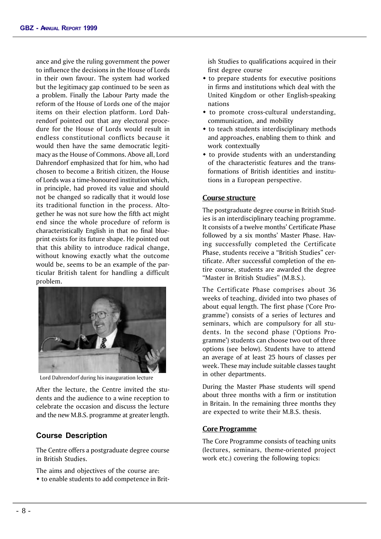ance and give the ruling government the power to influence the decisions in the House of Lords in their own favour. The system had worked but the legitimacy gap continued to be seen as a problem. Finally the Labour Party made the reform of the House of Lords one of the major items on their election platform. Lord Dahrendorf pointed out that any electoral procedure for the House of Lords would result in endless constitutional conflicts because it would then have the same democratic legitimacy as the House of Commons. Above all, Lord Dahrendorf emphasized that for him, who had chosen to become a British citizen, the House of Lords was a time-honoured institution which, in principle, had proved its value and should not be changed so radically that it would lose its traditional function in the process. Altogether he was not sure how the fifth act might end since the whole procedure of reform is characteristically English in that no final blueprint exists for its future shape. He pointed out that this ability to introduce radical change, without knowing exactly what the outcome would be, seems to be an example of the particular British talent for handling a difficult problem.



Lord Dahrendorf during his inauguration lecture

After the lecture, the Centre invited the students and the audience to a wine reception to celebrate the occasion and discuss the lecture and the new M.B.S. programme at greater length.

#### **Course Description**

The Centre offers a postgraduate degree course in British Studies.

- The aims and objectives of the course are:
- to enable students to add competence in Brit-

ish Studies to qualifications acquired in their first degree course

- $\bullet$  to prepare students for executive positions in firms and institutions which deal with the United Kingdom or other English-speaking nations
- $*$  to promote cross-cultural understanding, communication, and mobility
- $\bullet$  to teach students interdisciplinary methods and approaches, enabling them to think and work contextually
- $\bullet$  to provide students with an understanding of the characteristic features and the transformations of British identities and institutions in a European perspective.

#### **Course structure**

The postgraduate degree course in British Studies is an interdisciplinary teaching programme. It consists of a twelve months' Certificate Phase followed by a six months' Master Phase. Having successfully completed the Certificate Phase, students receive a "British Studies" certificate. After successful completion of the entire course, students are awarded the degree "Master in British Studies" (M.B.S.).

The Certificate Phase comprises about 36 weeks of teaching, divided into two phases of about equal length. The first phase ('Core Programme') consists of a series of lectures and seminars, which are compulsory for all students. In the second phase ('Options Programme') students can choose two out of three options (see below). Students have to attend an average of at least 25 hours of classes per week. These may include suitable classes taught in other departments.

During the Master Phase students will spend about three months with a firm or institution in Britain. In the remaining three months they are expected to write their M.B.S. thesis.

#### **Core Programme**

The Core Programme consists of teaching units (lectures, seminars, theme-oriented project work etc.) covering the following topics: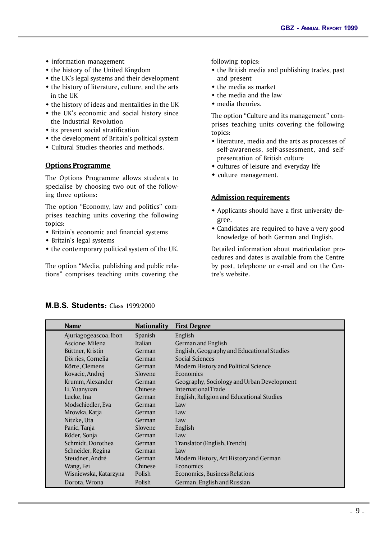- $\bullet$  information management
- $\bullet$  the history of the United Kingdom
- $\bullet$  the UK's legal systems and their development  $\bullet$  the history of literature, culture, and the arts
- in the UK
- $\bullet$  the history of ideas and mentalities in the UK
- $\bullet$  the UK's economic and social history since the Industrial Revolution
- $\bullet$  its present social stratification
- $\bullet$  the development of Britain's political system
- Cultural Studies theories and methods.

## **Options Programme**

The Options Programme allows students to specialise by choosing two out of the following three options:

The option "Economy, law and politics" comprises teaching units covering the following topics:

- Britain's economic and financial systems
- $\bullet$  Britain's legal systems
- $\bullet$  the contemporary political system of the UK.

The option "Media, publishing and public relations" comprises teaching units covering the

following topics:

- $\bullet$  the British media and publishing trades, past and present
- $\bullet$  the media as market
- $\bullet$  the media and the law
- $\bullet$  media theories.

The option "Culture and its management" comprises teaching units covering the following topics:

- $\bullet$  literature, media and the arts as processes of self-awareness, self-assessment, and selfpresentation of British culture
- $\bullet$  cultures of leisure and everyday life
- $\bullet$  culture management.

## **Admission requirements**

- Applicants should have a first university degree.
- Candidates are required to have a very good knowledge of both German and English.

Detailed information about matriculation procedures and dates is available from the Centre by post, telephone or e-mail and on the Centre's website.

| <b>Name</b>           | <b>Nationality</b> | <b>First Degree</b>                        |
|-----------------------|--------------------|--------------------------------------------|
| Ajuriagogeascoa, Ibon | <b>Spanish</b>     | English                                    |
| Ascione, Milena       | Italian            | German and English                         |
| Büttner, Kristin      | German             | English, Geography and Educational Studies |
| Dörries, Cornelia     | German             | Social Sciences                            |
| Körte, Clemens        | German             | Modern History and Political Science       |
| Kovacic, Andrej       | Slovene            | Economics                                  |
| Krumm, Alexander      | German             | Geography, Sociology and Urban Development |
| Li, Yuanyuan          | Chinese            | International Trade                        |
| Lucke, Ina            | German             | English, Religion and Educational Studies  |
| Modschiedler, Eva     | German             | Law                                        |
| Mrowka, Katja         | German             | Law                                        |
| Nitzke, Uta           | German             | Law                                        |
| Panic, Tanja          | Slovene            | English                                    |
| Röder, Sonja          | German             | Law                                        |
| Schmidt, Dorothea     | German             | Translator (English, French)               |
| Schneider, Regina     | German             | Law                                        |
| Steudner, André       | German             | Modern History, Art History and German     |
| Wang, Fei             | Chinese            | Economics                                  |
| Wisniewska, Katarzyna | Polish             | Economics, Business Relations              |
| Dorota, Wrona         | Polish             | German, English and Russian                |

## **M.B.S. Students:** Class 1999/2000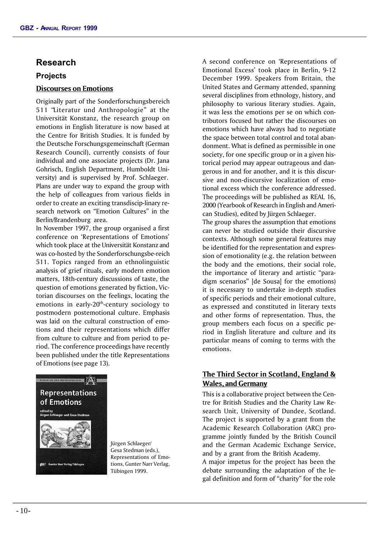## **Research**

## **Projects**

## **Discourses on Emotions**

Originally part of the Sonderforschungsbereich 511 "Literatur und Anthropologie" at the Universität Konstanz, the research group on emotions in English literature is now based at the Centre for British Studies. It is funded by the Deutsche Forschungsgemeinschaft (German Research Council), currently consists of four individual and one associate projects (Dr. Jana Gohrisch, English Department, Humboldt University) and is supervised by Prof. Schlaeger. Plans are under way to expand the group with the help of colleagues from various fields in order to create an exciting transdiscip-linary research network on "Emotion Cultures" in the Berlin/Brandenburg area.

In November 1997, the group organised a first conference on 'Representations of Emotions' which took place at the Universität Konstanz and was co-hosted by the Sonderforschungsbe-reich 511. Topics ranged from an ethnolinguistic analysis of grief rituals, early modern emotion matters, 18th-century discussions of taste, the question of emotions generated by fiction, Victorian discourses on the feelings, locating the emotions in early-20<sup>th</sup>-century sociology to postmodern postemotional culture. Emphasis was laid on the cultural construction of emotions and their representations which differ from culture to culture and from period to period. The conference proceedings have recently been published under the title Representations of Emotions (see page 13).



Jürgen Schlaeger/ Gesa Stedman (eds.), Representations of Emotions, Gunter Narr Verlag, Tübingen 1999.

A second conference on 'Representations of Emotional Excess' took place in Berlin, 9-12 December 1999. Speakers from Britain, the United States and Germany attended, spanning several disciplines from ethnology, history, and philosophy to various literary studies. Again, it was less the emotions per se on which contributors focused but rather the discourses on emotions which have always had to negotiate the space between total control and total abandonment. What is defined as permissible in one society, for one specific group or in a given historical period may appear outrageous and dangerous in and for another, and it is this discursive and non-discursive localization of emotional excess which the conference addressed. The proceedings will be published as REAL 16, 2000 (Yearbook of Research in English and American Studies), edited by Jürgen Schlaeger.

The group shares the assumption that emotions can never be studied outside their discursive contexts. Although some general features may be identified for the representation and expression of emotionality (e.g. the relation between the body and the emotions, their social role, the importance of literary and artistic "paradigm scenarios" [de Sousa] for the emotions) it is necessary to undertake in-depth studies of specific periods and their emotional culture, as expressed and constituted in literary texts and other forms of representation. Thus, the group members each focus on a specific period in English literature and culture and its particular means of coming to terms with the emotions.

## **The Third Sector in Scotland, England & Wales, and Germany**

This is a collaborative project between the Centre for British Studies and the Charity Law Research Unit, University of Dundee, Scotland. The project is supported by a grant from the Academic Research Collaboration (ARC) programme jointly funded by the British Council and the German Academic Exchange Service, and by a grant from the British Academy.

A major impetus for the project has been the debate surrounding the adaptation of the legal definition and form of "charity" for the role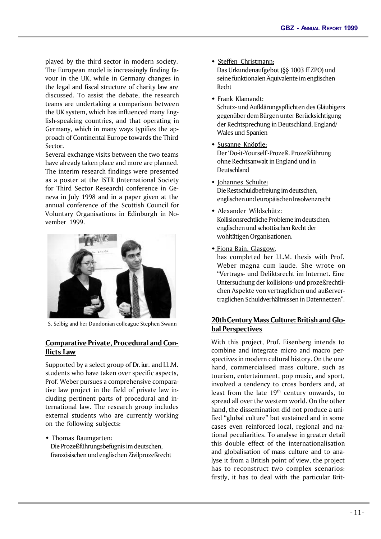played by the third sector in modern society. The European model is increasingly finding favour in the UK, while in Germany changes in the legal and fiscal structure of charity law are discussed. To assist the debate, the research teams are undertaking a comparison between the UK system, which has influenced many English-speaking countries, and that operating in Germany, which in many ways typifies the approach of Continental Europe towards the Third Sector.

Several exchange visits between the two teams have already taken place and more are planned. The interim research findings were presented as a poster at the ISTR (International Society for Third Sector Research) conference in Geneva in July 1998 and in a paper given at the annual conference of the Scottish Council for Voluntary Organisations in Edinburgh in November 1999.



S. Selbig and her Dundonian colleague Stephen Swann

## **Comparative Private, Procedural and Conflicts Law**

Supported by a select group of Dr. iur. and LL.M. students who have taken over specific aspects, Prof. Weber pursues a comprehensive comparative law project in the field of private law including pertinent parts of procedural and international law. The research group includes external students who are currently working on the following subjects:

 $\bullet$  Thomas Baumgarten: Die Prozeßführungsbefugnis im deutschen, französischen und englischen Zivilprozeßrecht

- $\bullet$  Steffen Christmann: Das Urkundenaufgebot (§§ 1003 ff ZPO) und seine funktionalen Äquivalente im englischen Recht
- $\bullet$  Frank Klamandt: Schutz- und Aufklärungspflichten des Gläubigers gegenüber dem Bürgen unter Berücksichtigung der Rechtsprechung in Deutschland, England/ Wales und Spanien
- $\bullet$  Susanne Knöpfle: Der 'Do-it-Yourself'-Prozeß. Prozeßführung ohne Rechtsanwalt in England und in Deutschland
- Johannes Schulte: Die Restschuldbefreiung im deutschen, englischen und europäischen Insolvenzrecht
- Alexander Wildschütz: Kollisionsrechtliche Probleme im deutschen, englischen und schottischen Recht der wohltätigen Organisationen.
- Fiona Bain, Glasgow,

has completed her LL.M. thesis with Prof. Weber magna cum laude. She wrote on "Vertrags- und Deliktsrecht im Internet. Eine Untersuchung der kollisions- und prozeßrechtlichen Aspekte von vertraglichen und außervertraglichen Schuldverhältnissen in Datennetzen".

## **20th Century Mass Culture: British and Global Perspectives**

With this project, Prof. Eisenberg intends to combine and integrate micro and macro perspectives in modern cultural history. On the one hand, commercialised mass culture, such as tourism, entertainment, pop music, and sport, involved a tendency to cross borders and, at least from the late 19<sup>th</sup> century onwards, to spread all over the western world. On the other hand, the dissemination did not produce a unified "global culture" but sustained and in some cases even reinforced local, regional and national peculiarities. To analyse in greater detail this double effect of the internationalisation and globalisation of mass culture and to analyse it from a British point of view, the project has to reconstruct two complex scenarios: firstly, it has to deal with the particular Brit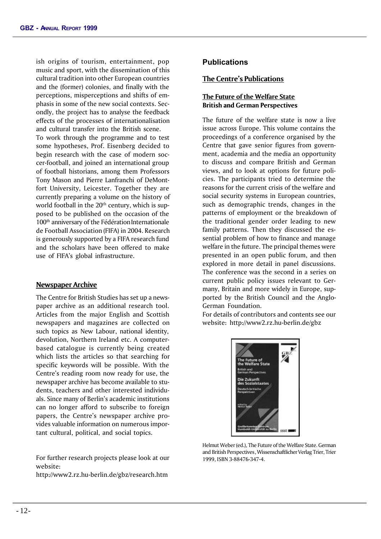ish origins of tourism, entertainment, pop music and sport, with the dissemination of this cultural tradition into other European countries and the (former) colonies, and finally with the perceptions, misperceptions and shifts of emphasis in some of the new social contexts. Secondly, the project has to analyse the feedback effects of the processes of internationalisation and cultural transfer into the British scene.

To work through the programme and to test some hypotheses, Prof. Eisenberg decided to begin research with the case of modern soccer-football, and joined an international group of football historians, among them Professors Tony Mason and Pierre Lanfranchi of DeMontfort University, Leicester. Together they are currently preparing a volume on the history of world football in the  $20<sup>th</sup>$  century, which is supposed to be published on the occasion of the 100<sup>th</sup> anniversary of the Fédération Internationale de Football Association (FIFA) in 2004. Research is generously supported by a FIFA research fund and the scholars have been offered to make use of FIFA's global infrastructure.

#### **Newspaper Archive**

The Centre for British Studies has set up a newspaper archive as an additional research tool. Articles from the major English and Scottish newspapers and magazines are collected on such topics as New Labour, national identity, devolution, Northern Ireland etc. A computerbased catalogue is currently being created which lists the articles so that searching for specific keywords will be possible. With the Centre's reading room now ready for use, the newspaper archive has become available to students, teachers and other interested individuals. Since many of Berlin's academic institutions can no longer afford to subscribe to foreign papers, the Centre's newspaper archive provides valuable information on numerous important cultural, political, and social topics.

For further research projects please look at our website:

http://www2.rz.hu-berlin.de/gbz/research.htm

## **Publications**

#### **The Centre's Publications**

#### **The Future of the Welfare State British and German Perspectives**

The future of the welfare state is now a live issue across Europe. This volume contains the proceedings of a conference organised by the Centre that gave senior figures from government, academia and the media an opportunity to discuss and compare British and German views, and to look at options for future policies. The participants tried to determine the reasons for the current crisis of the welfare and social security systems in European countries, such as demographic trends, changes in the patterns of employment or the breakdown of the traditional gender order leading to new family patterns. Then they discussed the essential problem of how to finance and manage welfare in the future. The principal themes were presented in an open public forum, and then explored in more detail in panel discussions. The conference was the second in a series on current public policy issues relevant to Germany, Britain and more widely in Europe, supported by the British Council and the Anglo-German Foundation.

For details of contributors and contents see our website: http://www2.rz.hu-berlin.de/gbz



Helmut Weber (ed.), The Future of the Welfare State. German and British Perspectives, Wissenschaftlicher Verlag Trier, Trier 1999, ISBN 3-88476-347-4.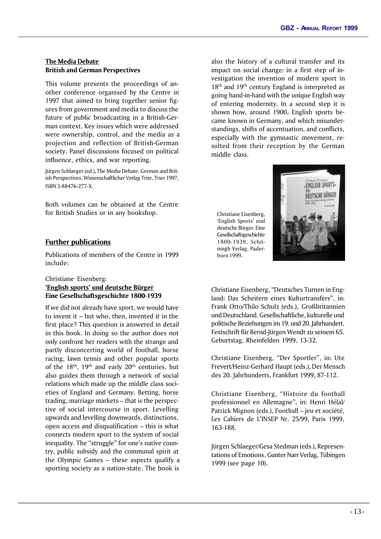## **The Media Debate British and German Perspectives**

This volume presents the proceedings of another conference organised by the Centre in 1997 that aimed to bring together senior figures from government and media to discuss the future of public broadcasting in a British-German context. Key issues which were addressed were ownership, control, and the media as a projection and reflection of British-German society. Panel discussions focused on political influence, ethics, and war reporting.

Jürgen Schlaeger (ed.), The Media Debate. German and British Perspectives, Wissenschaftlicher Verlag Trier, Trier 1997, ISBN 3-88476-277-X.

Both volumes can be obtained at the Centre for British Studies or in any bookshop.

## **Further publications**

Publications of members of the Centre in 1999 include:

## Christiane Eisenberg: **'English sports' und deutsche Bürger Eine Gesellschaftsgeschichte 1800-1939**

If we did not already have sport, we would have to invent it – but who, then, invented it in the first place? This question is answered in detail in this book. In doing so the author does not only confront her readers with the strange and partly disconcerting world of football, horse racing, lawn tennis and other popular sports of the  $18<sup>th</sup>$ ,  $19<sup>th</sup>$  and early  $20<sup>th</sup>$  centuries, but also guides them through a network of social relations which made up the middle class societies of England and Germany. Betting, horse trading, marriage markets – that is the perspective of social intercourse in sport. Levelling upwards and levelling downwards, distinctions, open access and disqualification – this is what connects modern sport to the system of social inequality. The "struggle" for one's native country, public subsidy and the communal spirit at the Olympic Games – these aspects qualify a sporting society as a nation-state. The book is

also the history of a cultural transfer and its impact on social change: in a first step of investigation the invention of modern sport in  $18<sup>th</sup>$  and  $19<sup>th</sup>$  century England is interpreted as going hand-in-hand with the unique English way of entering modernity. In a second step it is shown how, around 1900, English sports became known in Germany, and which misunderstandings, shifts of accentuation, and conflicts, especially with the gymnastic movement, resulted from their reception by the German middle class.

Christiane Eisenberg, 'English Sports' und deutsche Bürger. Eine Gesellschaftsgeschichte 1800-1939, Schöningh Verlag, Paderborn 1999.



Christiane Eisenberg, "Deutsches Turnen in England: Das Scheitern eines Kulturtransfers", in: Frank Otto/Thilo Schulz (eds.), Großbritannien und Deutschland. Gesellschaftliche, kulturelle und politische Beziehungen im 19. und 20. Jahrhundert. Festschrift für Bernd-Jürgen Wendt zu seinem 65. Geburtstag, Rheinfelden 1999, 13-32.

Christiane Eisenberg, "Der Sportler", in: Ute Frevert/Heinz-Gerhard Haupt (eds.), Der Mensch des 20. Jahrhunderts, Frankfurt 1999, 87-112.

Christiane Eisenberg, "Histoire du football professionnel en Allemagne", in: Henri Hélal/ Patrick Mignon (eds.), Football – jeu et société, Les Cahiers de L'INSEP Nr. 25/99, Paris 1999, 163-188.

Jürgen Schlaeger/Gesa Stedman (eds.), Representations of Emotions, Gunter Narr Verlag, Tübingen 1999 (see page 10).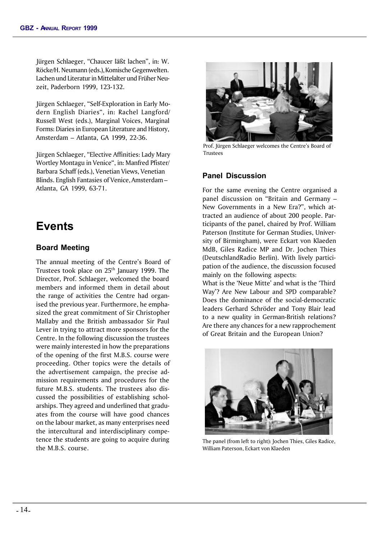Jürgen Schlaeger, "Chaucer läßt lachen", in: W. Röcke/H. Neumann (eds.), Komische Gegenwelten. Lachen und Literatur in Mittelalter und Früher Neuzeit, Paderborn 1999, 123-132.

Jürgen Schlaeger, "Self-Exploration in Early Modern English Diaries", in: Rachel Langford/ Russell West (eds.), Marginal Voices, Marginal Forms: Diaries in European Literature and History, Amsterdam – Atlanta, GA 1999, 22-36.

Jürgen Schlaeger, "Elective Affinities: Lady Mary Wortley Montagu in Venice", in: Manfred Pfister/ Barbara Schaff (eds.), Venetian Views, Venetian Blinds. English Fantasies of Venice, Amsterdam – Atlanta, GA 1999, 63-71.

# **Events**

## **Board Meeting**

The annual meeting of the Centre's Board of Trustees took place on 25<sup>th</sup> January 1999. The Director, Prof. Schlaeger, welcomed the board members and informed them in detail about the range of activities the Centre had organised the previous year. Furthermore, he emphasized the great commitment of Sir Christopher Mallaby and the British ambassador Sir Paul Lever in trying to attract more sponsors for the Centre. In the following discussion the trustees were mainly interested in how the preparations of the opening of the first M.B.S. course were proceeding. Other topics were the details of the advertisement campaign, the precise admission requirements and procedures for the future M.B.S. students. The trustees also discussed the possibilities of establishing scholarships. They agreed and underlined that graduates from the course will have good chances on the labour market, as many enterprises need the intercultural and interdisciplinary competence the students are going to acquire during the M.B.S. course.



Prof. Jürgen Schlaeger welcomes the Centre's Board of Trustees

## **Panel Discussion**

For the same evening the Centre organised a panel discussion on "Britain and Germany – New Governments in a New Era?", which attracted an audience of about 200 people. Participants of the panel, chaired by Prof. William Paterson (Institute for German Studies, University of Birmingham), were Eckart von Klaeden MdB, Giles Radice MP and Dr. Jochen Thies (DeutschlandRadio Berlin). With lively participation of the audience, the discussion focused mainly on the following aspects:

What is the 'Neue Mitte' and what is the 'Third Way'? Are New Labour and SPD comparable? Does the dominance of the social-democratic leaders Gerhard Schröder and Tony Blair lead to a new quality in German-British relations? Are there any chances for a new rapprochement of Great Britain and the European Union?



The panel (from left to right): Jochen Thies, Giles Radice, William Paterson, Eckart von Klaeden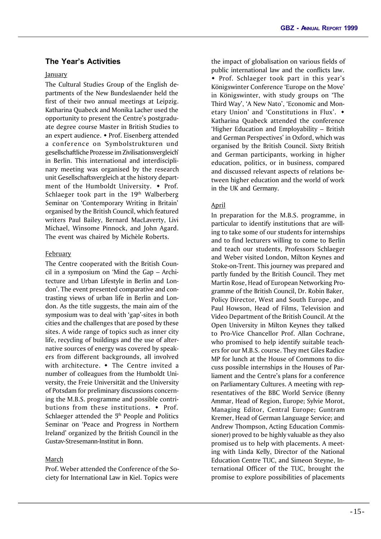## **The Year's Activities**

## **January**

The Cultural Studies Group of the English departments of the New Bundeslaender held the first of their two annual meetings at Leipzig. Katharina Quabeck and Monika Lacher used the opportunity to present the Centre's postgraduate degree course Master in British Studies to an expert audience. • Prof. Eisenberg attended a conference on 'Symbolstrukturen und gesellschaftliche Prozesse im Zivilisationsvergleich' in Berlin. This international and interdisciplinary meeting was organised by the research unit Gesellschaftsvergleich at the history department of the Humboldt University.  $\bullet$  Prof. Schlaeger took part in the  $19<sup>th</sup>$  Walberberg Seminar on 'Contemporary Writing in Britain' organised by the British Council, which featured writers Paul Bailey, Bernard MacLaverty, Livi Michael, Winsome Pinnock, and John Agard. The event was chaired by Michèle Roberts.

## February

The Centre cooperated with the British Council in a symposium on 'Mind the Gap – Architecture and Urban Lifestyle in Berlin and London'. The event presented comparative and contrasting views of urban life in Berlin and London. As the title suggests, the main aim of the symposium was to deal with 'gap'-sites in both cities and the challenges that are posed by these sites. A wide range of topics such as inner city life, recycling of buildings and the use of alternative sources of energy was covered by speakers from different backgrounds, all involved with architecture.  $\bullet$  The Centre invited a number of colleagues from the Humboldt University, the Freie Universität and the University of Potsdam for preliminary discussions concerning the M.B.S. programme and possible contributions from these institutions.  $\bullet$  Prof. Schlaeger attended the 5<sup>th</sup> People and Politics Seminar on 'Peace and Progress in Northern Ireland' organized by the British Council in the Gustav-Stresemann-Institut in Bonn.

## March

Prof. Weber attended the Conference of the Society for International Law in Kiel. Topics were

the impact of globalisation on various fields of public international law and the conflicts law. • Prof. Schlaeger took part in this year's Königswinter Conference 'Europe on the Move' in Königswinter, with study groups on 'The Third Way', 'A New Nato', 'Economic and Monetary Union' and 'Constitutions in Flux'.  $\bullet$ Katharina Quabeck attended the conference 'Higher Education and Employability – British and German Perspectives' in Oxford, which was organised by the British Council. Sixty British and German participants, working in higher education, politics, or in business, compared and discussed relevant aspects of relations between higher education and the world of work in the UK and Germany.

## April

In preparation for the M.B.S. programme, in particular to identify institutions that are willing to take some of our students for internships and to find lecturers willing to come to Berlin and teach our students, Professors Schlaeger and Weber visited London, Milton Keynes and Stoke-on-Trent. This journey was prepared and partly funded by the British Council. They met Martin Rose, Head of European Networking Programme of the British Council, Dr. Robin Baker, Policy Director, West and South Europe, and Paul Howson, Head of Films, Television and Video Department of the British Council. At the Open University in Milton Keynes they talked to Pro-Vice Chancellor Prof. Allan Cochrane, who promised to help identify suitable teachers for our M.B.S. course. They met Giles Radice MP for lunch at the House of Commons to discuss possible internships in the Houses of Parliament and the Centre's plans for a conference on Parliamentary Cultures. A meeting with representatives of the BBC World Service (Benny Ammar, Head of Region, Europe; Sylvie Morot, Managing Editor, Central Europe; Guntram Kremer, Head of German Language Service; and Andrew Thompson, Acting Education Commissioner) proved to be highly valuable as they also promised us to help with placements. A meeting with Linda Kelly, Director of the National Education Centre TUC, and Simeon Steyne, International Officer of the TUC, brought the promise to explore possibilities of placements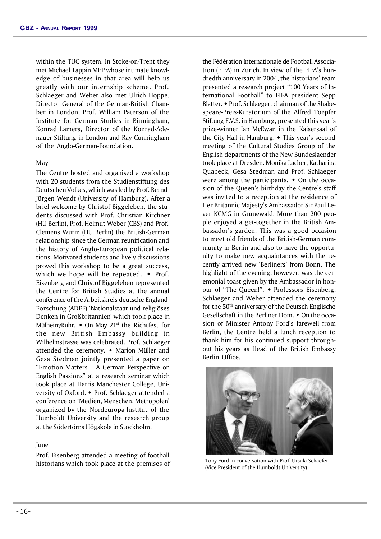within the TUC system. In Stoke-on-Trent they met Michael Tappin MEP whose intimate knowledge of businesses in that area will help us greatly with our internship scheme. Prof. Schlaeger and Weber also met Ulrich Hoppe, Director General of the German-British Chamber in London, Prof. William Paterson of the Institute for German Studies in Birmingham, Konrad Lamers, Director of the Konrad-Adenauer-Stiftung in London and Ray Cunningham of the Anglo-German-Foundation.

#### May

The Centre hosted and organised a workshop with 20 students from the Studienstiftung des Deutschen Volkes, which was led by Prof. Bernd-Jürgen Wendt (University of Hamburg). After a brief welcome by Christof Biggeleben, the students discussed with Prof. Christian Kirchner (HU Berlin), Prof. Helmut Weber (CBS) and Prof. Clemens Wurm (HU Berlin) the British-German relationship since the German reunification and the history of Anglo-European political relations. Motivated students and lively discussions proved this workshop to be a great success, which we hope will be repeated.  $\bullet$  Prof. Eisenberg and Christof Biggeleben represented the Centre for British Studies at the annual conference of the Arbeitskreis deutsche England-Forschung (ADEF) 'Nationalstaat und religiöses Denken in Großbritannien' which took place in Mülheim/Ruhr.  $\bullet$  On May 21<sup>st</sup> the Richtfest for the new British Embassy building in Wilhelmstrasse was celebrated. Prof. Schlaeger attended the ceremony.  $\bullet$  Marion Müller and Gesa Stedman jointly presented a paper on "Emotion Matters – A German Perspective on English Passions" at a research seminar which took place at Harris Manchester College, University of Oxford. • Prof. Schlaeger attended a conference on 'Medien, Menschen, Metropolen' organized by the Nordeuropa-Institut of the Humboldt University and the research group at the Södertörns Högskola in Stockholm.

#### June

Prof. Eisenberg attended a meeting of football historians which took place at the premises of the Fédération Internationale de Football Association (FIFA) in Zurich. In view of the FIFA's hundredth anniversary in 2004, the historians' team presented a research project "100 Years of International Football" to FIFA president Sepp Blatter. • Prof. Schlaeger, chairman of the Shakespeare-Preis-Kuratorium of the Alfred Toepfer Stiftung F.V.S. in Hamburg, presented this year's prize-winner Ian McEwan in the Kaisersaal of the City Hall in Hamburg.  $\bullet$  This year's second meeting of the Cultural Studies Group of the English departments of the New Bundeslaender took place at Dresden. Monika Lacher, Katharina Quabeck, Gesa Stedman and Prof. Schlaeger were among the participants.  $\bullet$  On the occasion of the Queen's birthday the Centre's staff was invited to a reception at the residence of Her Britannic Majesty's Ambassador Sir Paul Lever KCMG in Grunewald. More than 200 people enjoyed a get-together in the British Ambassador's garden. This was a good occasion to meet old friends of the British-German community in Berlin and also to have the opportunity to make new acquaintances with the recently arrived new 'Berliners' from Bonn. The highlight of the evening, however, was the ceremonial toast given by the Ambassador in honour of "The Queen!". • Professors Eisenberg, Schlaeger and Weber attended the ceremony for the 50th anniversary of the Deutsch-Englische Gesellschaft in the Berliner Dom.  $\bullet$  On the occasion of Minister Antony Ford's farewell from Berlin, the Centre held a lunch reception to thank him for his continued support throughout his years as Head of the British Embassy Berlin Office.



Tony Ford in conversation with Prof. Ursula Schaefer (Vice President of the Humboldt University)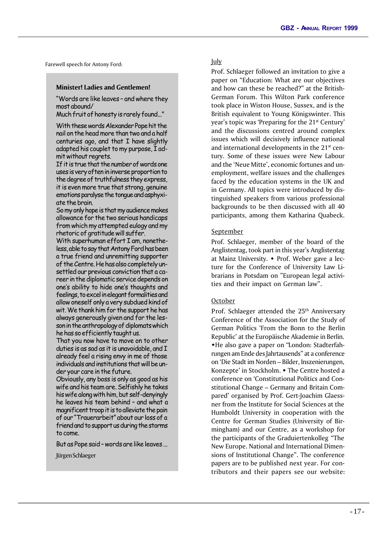Farewell speech for Antony Ford:

#### **Minister! Ladies and Gentlemen!**

"Words are like leaves – and where they most abound/

Much fruit of honesty is rarely found..."

With these words Alexander Pope hit the nail on the head more than two and a half centuries ago, and that I have slightly adapted his couplet to my purpose, I admit without regrets.

If it is true that the number of words one uses is very often in inverse proportion to the degree of truthfulness they express, it is even more true that strong, genuine emotions paralyse the tongue and asphyxiate the brain.

So my only hope is that my audience makes allowance for the two serious handicaps from which my attempted eulogy and my rhetoric of gratitude will suffer.

With superhuman effort I am, nonetheless, able to say that Antony Ford has been a true friend and unremitting supporter of the Centre. He has also completely unsettled our previous conviction that a career in the diplomatic service depends on one's ability to hide one's thoughts and feelings, to excel in elegant formalities and allow oneself only a very subdued kind of wit. We thank him for the support he has always generously given and for the lesson in the anthropology of diplomats which he has so efficiently taught us.

That you now have to move on to other duties is as sad as it is unavoidable, and I already feel a rising envy in me of those individuals and institutions that will be under your care in the future.

Obviously, any boss is only as good as his wife and his team are. Selfishly he takes his wife along with him, but self-denyingly he leaves his team behind – and what a magnificent troop it is to alleviate the pain of our "Trauerarbeit" about our loss of a friend and to support us during the storms to come.

But as Pope said – words are like leaves ...

Jürgen Schlaeger

July

Prof. Schlaeger followed an invitation to give a paper on "Education: What are our objectives and how can these be reached?" at the British-German Forum. This Wilton Park conference took place in Wiston House, Sussex, and is the British equivalent to Young Königswinter. This year's topic was 'Preparing for the 21<sup>st</sup> Century' and the discussions centred around complex issues which will decisively influence national and international developments in the  $21<sup>st</sup>$  century. Some of these issues were New Labour and the 'Neue Mitte', economic fortunes and unemployment, welfare issues and the challenges faced by the education systems in the UK and in Germany. All topics were introduced by distinguished speakers from various professional backgrounds to be then discussed with all 40 participants, among them Katharina Quabeck.

#### September

Prof. Schlaeger, member of the board of the Anglistentag, took part in this year's Anglistentag at Mainz University.  $\bullet$  Prof. Weber gave a lecture for the Conference of University Law Librarians in Potsdam on "European legal activities and their impact on German law".

#### October

Prof. Schlaeger attended the 25<sup>th</sup> Anniversary Conference of the Association for the Study of German Politics 'From the Bonn to the Berlin Republic' at the Europäische Akademie in Berlin. wHe also gave a paper on "London: Stadterfahrungen am Ende des Jahrtausends" at a conference on 'Die Stadt im Norden – Bilder, Inszenierungen, Konzepte' in Stockholm. • The Centre hosted a conference on 'Constitutional Politics and Constitutional Change – Germany and Britain Compared' organised by Prof. Gert-Joachim Glaessner from the Institute for Social Sciences at the Humboldt University in cooperation with the Centre for German Studies (University of Birmingham) and our Centre, as a workshop for the participants of the Graduiertenkolleg "The New Europe. National and International Dimensions of Institutional Change". The conference papers are to be published next year. For contributors and their papers see our website: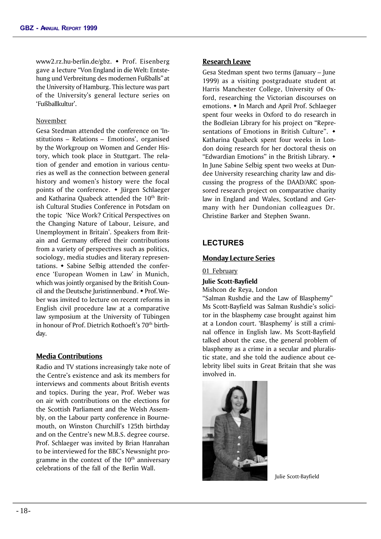www2.rz.hu-berlin.de/gbz. • Prof. Eisenberg gave a lecture "Von England in die Welt: Entstehung und Verbreitung des modernen Fußballs" at the University of Hamburg. This lecture was part of the University's general lecture series on 'Fußballkultur'.

#### November

Gesa Stedman attended the conference on 'Institutions – Relations – Emotions', organised by the Workgroup on Women and Gender History, which took place in Stuttgart. The relation of gender and emotion in various centuries as well as the connection between general history and women's history were the focal points of the conference.  $\bullet$  Jürgen Schlaeger and Katharina Quabeck attended the 10<sup>th</sup> British Cultural Studies Conference in Potsdam on the topic 'Nice Work? Critical Perspectives on the Changing Nature of Labour, Leisure, and Unemployment in Britain'. Speakers from Britain and Germany offered their contributions from a variety of perspectives such as politics, sociology, media studies and literary representations.  $\bullet$  Sabine Selbig attended the conference 'European Women in Law' in Munich, which was jointly organised by the British Council and the Deutsche Iuristinnenbund.  $\bullet$  Prof. Weber was invited to lecture on recent reforms in English civil procedure law at a comparative law symposium at the University of Tübingen in honour of Prof. Dietrich Rothoeft's 70th birthday.

#### **Media Contributions**

Radio and TV stations increasingly take note of the Centre's existence and ask its members for interviews and comments about British events and topics. During the year, Prof. Weber was on air with contributions on the elections for the Scottish Parliament and the Welsh Assembly, on the Labour party conference in Bournemouth, on Winston Churchill's 125th birthday and on the Centre's new M.B.S. degree course. Prof. Schlaeger was invited by Brian Hanrahan to be interviewed for the BBC's Newsnight programme in the context of the  $10<sup>th</sup>$  anniversary celebrations of the fall of the Berlin Wall.

#### **Research Leave**

Gesa Stedman spent two terms (January – June 1999) as a visiting postgraduate student at Harris Manchester College, University of Oxford, researching the Victorian discourses on emotions. • In March and April Prof. Schlaeger spent four weeks in Oxford to do research in the Bodleian Library for his project on "Representations of Emotions in British Culture".  $\rightarrow$ Katharina Quabeck spent four weeks in London doing research for her doctoral thesis on "Edwardian Emotions" in the British Library.  $\bullet$ In June Sabine Selbig spent two weeks at Dundee University researching charity law and discussing the progress of the DAAD/ARC sponsored research project on comparative charity law in England and Wales, Scotland and Germany with her Dundonian colleagues Dr. Christine Barker and Stephen Swann.

## **LECTURES**

#### **Monday Lecture Series**

01 February

**Julie Scott-Bayfield**

Mishcon de Reya, London

"Salman Rushdie and the Law of Blasphemy" Ms Scott-Bayfield was Salman Rushdie's solicitor in the blasphemy case brought against him at a London court. 'Blasphemy' is still a criminal offence in English law. Ms Scott-Bayfield talked about the case, the general problem of blasphemy as a crime in a secular and pluralistic state, and she told the audience about celebrity libel suits in Great Britain that she was involved in.



Julie Scott-Bayfield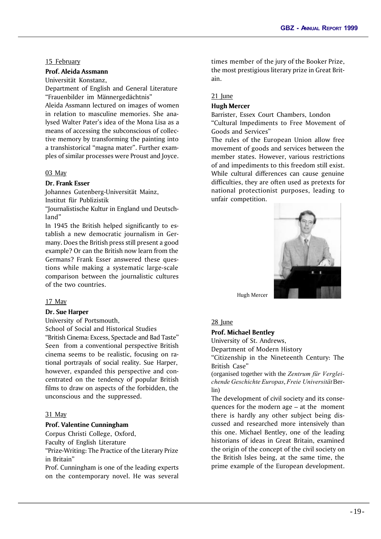#### 15 February

#### **Prof. Aleida Assmann**

Universität Konstanz,

Department of English and General Literature "Frauenbilder im Männergedächtnis"

Aleida Assmann lectured on images of women in relation to masculine memories. She analysed Walter Pater's idea of the Mona Lisa as a means of accessing the subconscious of collective memory by transforming the painting into a transhistorical "magna mater". Further examples of similar processes were Proust and Joyce.

#### 03 May

#### **Dr. Frank Esser**

Johannes Gutenberg-Universität Mainz, Institut für Publizistik

"Journalistische Kultur in England und Deutschland"

In 1945 the British helped significantly to establish a new democratic journalism in Germany. Does the British press still present a good example? Or can the British now learn from the Germans? Frank Esser answered these questions while making a systematic large-scale comparison between the journalistic cultures of the two countries.

#### 17 May

#### **Dr. Sue Harper**

University of Portsmouth,

School of Social and Historical Studies "British Cinema: Excess, Spectacle and Bad Taste" Seen from a conventional perspective British cinema seems to be realistic, focusing on rational portrayals of social reality. Sue Harper, however, expanded this perspective and concentrated on the tendency of popular British films to draw on aspects of the forbidden, the unconscious and the suppressed.

#### 31 May

#### **Prof. Valentine Cunningham**

Corpus Christi College, Oxford,

Faculty of English Literature

"Prize-Writing: The Practice of the Literary Prize in Britain"

Prof. Cunningham is one of the leading experts on the contemporary novel. He was several

times member of the jury of the Booker Prize, the most prestigious literary prize in Great Britain.

#### 21 June

#### **Hugh Mercer**

Barrister, Essex Court Chambers, London "Cultural Impediments to Free Movement of Goods and Services"

The rules of the European Union allow free movement of goods and services between the member states. However, various restrictions of and impediments to this freedom still exist. While cultural differences can cause genuine difficulties, they are often used as pretexts for national protectionist purposes, leading to unfair competition.



Hugh Mercer

#### 28 June

#### **Prof. Michael Bentley**

University of St. Andrews,

Department of Modern History

"Citizenship in the Nineteenth Century: The British Case"

(organised together with the *Zentrum für Vergleichende Geschichte Europas*, *Freie Universität* Berlin)

The development of civil society and its consequences for the modern age – at the moment there is hardly any other subject being discussed and researched more intensively than this one. Michael Bentley, one of the leading historians of ideas in Great Britain, examined the origin of the concept of the civil society on the British Isles being, at the same time, the prime example of the European development.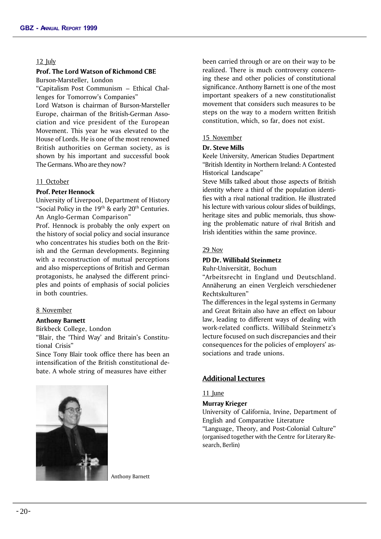#### 12 July

#### **Prof. The Lord Watson of Richmond CBE**

Burson-Marsteller, London

"Capitalism Post Communism – Ethical Challenges for Tomorrow's Companies"

Lord Watson is chairman of Burson-Marsteller Europe, chairman of the British-German Association and vice president of the European Movement. This year he was elevated to the House of Lords. He is one of the most renowned British authorities on German society, as is shown by his important and successful book The Germans. Who are they now?

#### 11 October

#### **Prof. Peter Hennock**

University of Liverpool, Department of History "Social Policy in the 19<sup>th</sup> & early 20<sup>th</sup> Centuries. An Anglo-German Comparison"

Prof. Hennock is probably the only expert on the history of social policy and social insurance who concentrates his studies both on the British and the German developments. Beginning with a reconstruction of mutual perceptions and also misperceptions of British and German protagonists, he analysed the different principles and points of emphasis of social policies in both countries.

#### 8 November

#### **Anthony Barnett**

Birkbeck College, London

"Blair, the 'Third Way' and Britain's Constitutional Crisis"

Since Tony Blair took office there has been an intensification of the British constitutional debate. A whole string of measures have either



been carried through or are on their way to be realized. There is much controversy concerning these and other policies of constitutional significance. Anthony Barnett is one of the most important speakers of a new constitutionalist movement that considers such measures to be steps on the way to a modern written British constitution, which, so far, does not exist.

#### 15 November

#### **Dr. Steve Mills**

Keele University, American Studies Department "British Identity in Northern Ireland: A Contested Historical Landscape"

Steve Mills talked about those aspects of British identity where a third of the population identifies with a rival national tradition. He illustrated his lecture with various colour slides of buildings, heritage sites and public memorials, thus showing the problematic nature of rival British and Irish identities within the same province.

#### 29 Nov

#### **PD Dr. Willibald Steinmetz**

Ruhr-Universität, Bochum

"Arbeitsrecht in England und Deutschland. Annäherung an einen Vergleich verschiedener Rechtskulturen"

The differences in the legal systems in Germany and Great Britain also have an effect on labour law, leading to different ways of dealing with work-related conflicts. Willibald Steinmetz's lecture focused on such discrepancies and their consequences for the policies of employers' associations and trade unions.

#### **Additional Lectures**

#### 11 June

#### **Murray Krieger**

University of California, Irvine, Department of English and Comparative Literature "Language, Theory, and Post-Colonial Culture" (organised together with the Centre for Literary Research, Berlin)

Anthony Barnett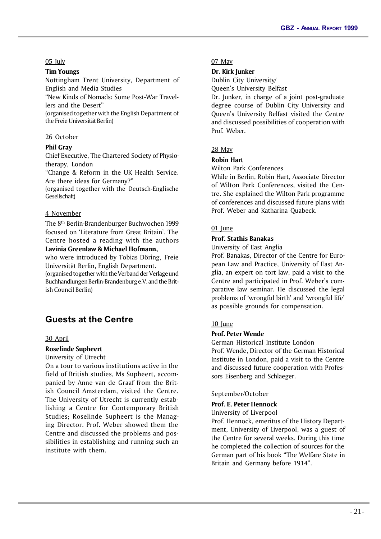#### 05 July

#### **Tim Youngs**

Nottingham Trent University, Department of English and Media Studies

"New Kinds of Nomads: Some Post-War Travellers and the Desert"

(organised together with the English Department of the Freie Universität Berlin)

#### 26 October

#### **Phil Gray**

Chief Executive, The Chartered Society of Physiotherapy, London

"Change & Reform in the UK Health Service. Are there ideas for Germany?"

(organised together with the Deutsch-Englische Gesellschaft)

#### 4 November

The 8th Berlin-Brandenburger Buchwochen 1999 focused on 'Literature from Great Britain'. The Centre hosted a reading with the authors **Lavinia Greenlaw & Michael Hofmann,**

who were introduced by Tobias Döring, Freie Universität Berlin, English Department.

(organised together with the Verband der Verlageund Buchhandlungen Berlin-Brandenburg e.V. and the British Council Berlin)

## **Guests at the Centre**

#### 30 April

## **Roselinde Supheert**

University of Utrecht

On a tour to various institutions active in the field of British studies, Ms Supheert, accompanied by Anne van de Graaf from the British Council Amsterdam, visited the Centre. The University of Utrecht is currently establishing a Centre for Contemporary British Studies; Roselinde Supheert is the Managing Director. Prof. Weber showed them the Centre and discussed the problems and possibilities in establishing and running such an institute with them.

#### 07 May

#### **Dr. Kirk Junker**

Dublin City University/

Queen's University Belfast

Dr. Junker, in charge of a joint post-graduate degree course of Dublin City University and Queen's University Belfast visited the Centre and discussed possibilities of cooperation with Prof. Weber.

#### 28 May

#### **Robin Hart**

Wilton Park Conferences

While in Berlin, Robin Hart, Associate Director of Wilton Park Conferences, visited the Centre. She explained the Wilton Park programme of conferences and discussed future plans with Prof. Weber and Katharina Quabeck.

#### 01 Iune

#### **Prof. Stathis Banakas**

University of East Anglia

Prof. Banakas, Director of the Centre for European Law and Practice, University of East Anglia, an expert on tort law, paid a visit to the Centre and participated in Prof. Weber's comparative law seminar. He discussed the legal problems of 'wrongful birth' and 'wrongful life' as possible grounds for compensation.

#### 10 June

## **Prof. Peter Wende**

German Historical Institute London

Prof. Wende, Director of the German Historical Institute in London, paid a visit to the Centre and discussed future cooperation with Professors Eisenberg and Schlaeger.

#### September/October

#### **Prof. E. Peter Hennock**

#### University of Liverpool

Prof. Hennock, emeritus of the History Department, University of Liverpool, was a guest of the Centre for several weeks. During this time he completed the collection of sources for the German part of his book "The Welfare State in Britain and Germany before 1914".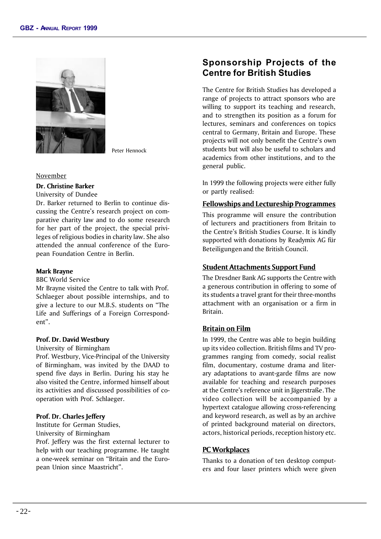

Peter Hennock

#### November

**Dr. Christine Barker**

University of Dundee

Dr. Barker returned to Berlin to continue discussing the Centre's research project on comparative charity law and to do some research for her part of the project, the special privileges of religious bodies in charity law. She also attended the annual conference of the European Foundation Centre in Berlin.

#### **Mark Brayne**

#### BBC World Service

Mr Brayne visited the Centre to talk with Prof. Schlaeger about possible internships, and to give a lecture to our M.B.S. students on "The Life and Sufferings of a Foreign Correspondent".

#### **Prof. Dr. David Westbury**

University of Birmingham

Prof. Westbury, Vice-Principal of the University of Birmingham, was invited by the DAAD to spend five days in Berlin. During his stay he also visited the Centre, informed himself about its activities and discussed possibilities of cooperation with Prof. Schlaeger.

#### **Prof. Dr. Charles Jeffery**

Institute for German Studies, University of Birmingham

Prof. Jeffery was the first external lecturer to help with our teaching programme. He taught a one-week seminar on "Britain and the European Union since Maastricht".

# **Sponsorship Projects of the Centre for British Studies**

The Centre for British Studies has developed a range of projects to attract sponsors who are willing to support its teaching and research, and to strengthen its position as a forum for lectures, seminars and conferences on topics central to Germany, Britain and Europe. These projects will not only benefit the Centre's own students but will also be useful to scholars and academics from other institutions, and to the general public.

In 1999 the following projects were either fully or partly realised:

#### **Fellowships and Lectureship Programmes**

This programme will ensure the contribution of lecturers and practitioners from Britain to the Centre's British Studies Course. It is kindly supported with donations by Readymix AG für Beteiligungen and the British Council.

#### **Student Attachments Support Fund**

The Dresdner Bank AG supports the Centre with a generous contribution in offering to some of its students a travel grant for their three-months attachment with an organisation or a firm in Britain.

#### **Britain on Film**

In 1999, the Centre was able to begin building up its video collection. British films and TV programmes ranging from comedy, social realist film, documentary, costume drama and literary adaptations to avant-garde films are now available for teaching and research purposes at the Centre's reference unit in Jägerstraße. The video collection will be accompanied by a hypertext catalogue allowing cross-referencing and keyword research, as well as by an archive of printed background material on directors, actors, historical periods, reception history etc.

#### **PC Workplaces**

Thanks to a donation of ten desktop computers and four laser printers which were given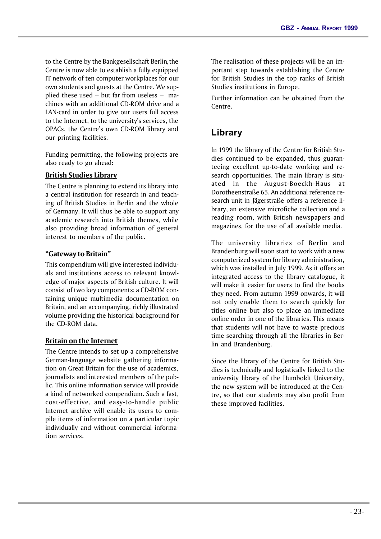to the Centre by the Bankgesellschaft Berlin, the Centre is now able to establish a fully equipped IT network of ten computer workplaces for our own students and guests at the Centre. We supplied these used – but far from useless – machines with an additional CD-ROM drive and a LAN-card in order to give our users full access to the Internet, to the university's services, the OPACs, the Centre's own CD-ROM library and our printing facilities.

Funding permitting, the following projects are also ready to go ahead:

## **British Studies Library**

The Centre is planning to extend its library into a central institution for research in and teaching of British Studies in Berlin and the whole of Germany. It will thus be able to support any academic research into British themes, while also providing broad information of general interest to members of the public.

## **"Gateway to Britain"**

This compendium will give interested individuals and institutions access to relevant knowledge of major aspects of British culture. It will consist of two key components: a CD-ROM containing unique multimedia documentation on Britain, and an accompanying, richly illustrated volume providing the historical background for the CD-ROM data.

## **Britain on the Internet**

The Centre intends to set up a comprehensive German-language website gathering information on Great Britain for the use of academics, journalists and interested members of the public. This online information service will provide a kind of networked compendium. Such a fast, cost-effective, and easy-to-handle public Internet archive will enable its users to compile items of information on a particular topic individually and without commercial information services.

The realisation of these projects will be an important step towards establishing the Centre for British Studies in the top ranks of British Studies institutions in Europe.

Further information can be obtained from the Centre.

# **Library**

In 1999 the library of the Centre for British Studies continued to be expanded, thus guaranteeing excellent up-to-date working and research opportunities. The main library is situated in the August-Boeckh-Haus at Dorotheenstraße 65. An additional reference research unit in Jägerstraße offers a reference library, an extensive microfiche collection and a reading room, with British newspapers and magazines, for the use of all available media.

The university libraries of Berlin and Brandenburg will soon start to work with a new computerized system for library administration, which was installed in July 1999. As it offers an integrated access to the library catalogue, it will make it easier for users to find the books they need. From autumn 1999 onwards, it will not only enable them to search quickly for titles online but also to place an immediate online order in one of the libraries. This means that students will not have to waste precious time searching through all the libraries in Berlin and Brandenburg.

Since the library of the Centre for British Studies is technically and logistically linked to the university library of the Humboldt University, the new system will be introduced at the Centre, so that our students may also profit from these improved facilities.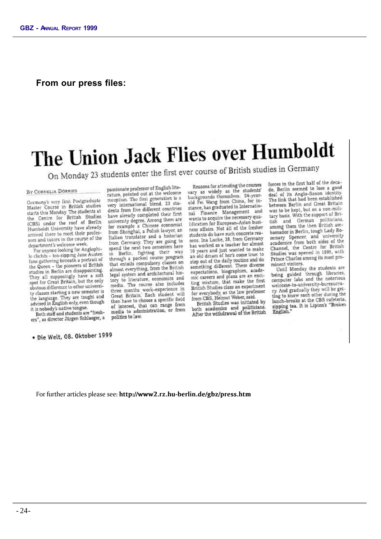## **From our press files:**

# The Union Jack Flies over Humboldt

On Monday 23 students enter the first ever course of British studies in Germany

#### BY CORNELIA DÖRRIES

Germany's very first Postgraduate Master Course in British studies starts this Monday. The students at the Centre for British Studies (CBS) under the roof of Berlin Humboldt University have already arrived there to meet their professors and tutors in the course of the department's welcome week.

For anyone looking for Anglophile clichés - tea-sipping Jane Austen fans gathering beneath a portrait of the Queen - the pioneers of British studies in Berlin are disappointing. They all supposingly have a soft spot for Great Britain, but the only obvious difference to other university classes starting a new semester is the language. They are taught and advised in English only, even though it is nobody's native tongue.

Both staff and students are "freshers", as director Jürgen Schlaeger, a

· Die Welt, 08. Oktober 1999

passionate professor of English literature, pointed out at the welcome rature, pointed out a the ration is a<br>very international blend. 23 students from five different countries have already completed their first university degree. Among them are for example a Chinese economist from Shanghai, a Polish lawyer, an Italian translator and a historian from Germany. They are going to spend the next two semesters here in Berlin, fighting their way<br>through a packed course program that entails compulsory classes on almost everything, from the British legal system and architectural history to literature, economics and media. The course also includes media. The course also includes<br>three months work-experience in<br>Great Britain. Each student will then have to choose a specific field of interest, that can range from media to administration, or from politics to law.

Reasons for attending the courses vary as widely as the students' backgrounds themselves. 24-yearold Fei Wang from China, for instance, has graduated in Internatio-Finance Management and nal wants to acquire the necessary quabification for European-Asian business affairs. Not all of the fresher students do have such concrete reasquaents do nave such control. has worked as a teacher for almost 10 years and just wanted to make an old dream of her's come true: to step out of the daily routine and do something different. These diverse expectations, biographies, academic careers and plans are an exciting mixture, that make the first British Studies class an experiment for everybody, as the law professor from CBS, Helmut Weber, said.

British Studies was initiated by British Studies was implificians.<br>both academics and politicians.<br>After the withdrawal of the British

forces in the first half of the decade, Berlin seemed to lose a good deal of its Anglo-Saxon identity. The link that had been established between Berlin and Great Britain was to be kept, but on a non-military basis. With the support of Britary basis, with the supportions.<br>tish and German politicians.<br>among them the then British ambassador in Berlin, tough Lady Rosemary Spencer, and university academics from both sides of the channel, the Centre for British Studies was opened in 1995, with Prince Charles among its most prominent visitors.

minent visitors.<br>Until Monday the students are<br>being guided through libraries.<br>computer labs and the notorious welcome-to-university-bureaucracy. And gradually they will be getting to know each other during the lunch-breaks at the CBS cafeteria. lunch-breaks at the CBS cafeteria,<br>sipping tea. It is Lipton's "Broken<br>English."

For further articles please see: **http://www2.rz.hu-berlin.de/gbz/press.htm**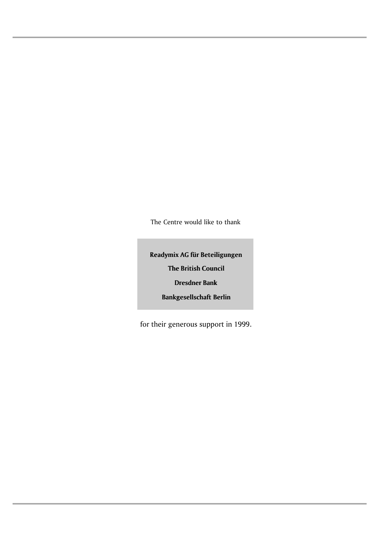The Centre would like to thank

**Readymix AG für Beteiligungen The British Council Dresdner Bank**

**Bankgesellschaft Berlin**

for their generous support in 1999.